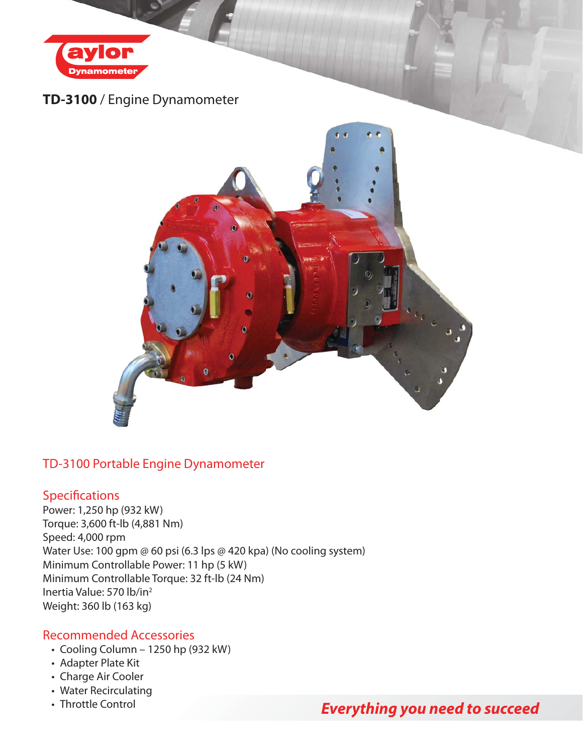

## **TD-3100** / Engine Dynamometer



### TD-3100 Portable Engine Dynamometer

### **Specifications**

Power: 1,250 hp (932 kW) Torque: 3,600 ft-lb (4,881 Nm) Speed: 4,000 rpm Water Use: 100 gpm @ 60 psi (6.3 lps @ 420 kpa) (No cooling system) Minimum Controllable Power: 11 hp (5 kW) Minimum Controllable Torque: 32 ft-lb (24 Nm) Inertia Value: 570 lb/in2 Weight: 360 lb (163 kg)

#### Recommended Accessories

- Cooling Column 1250 hp (932 kW)
- Adapter Plate Kit
- Charge Air Cooler
- Water Recirculating
- Throttle Control

# *Everything you need to succeed*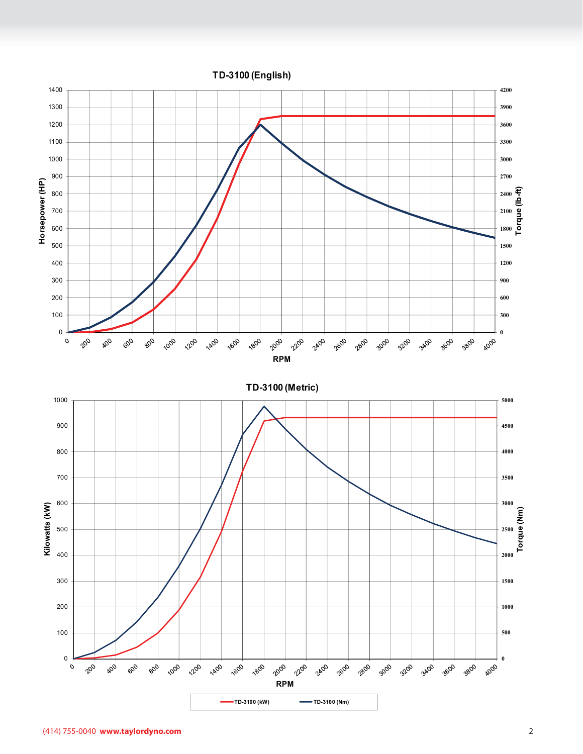